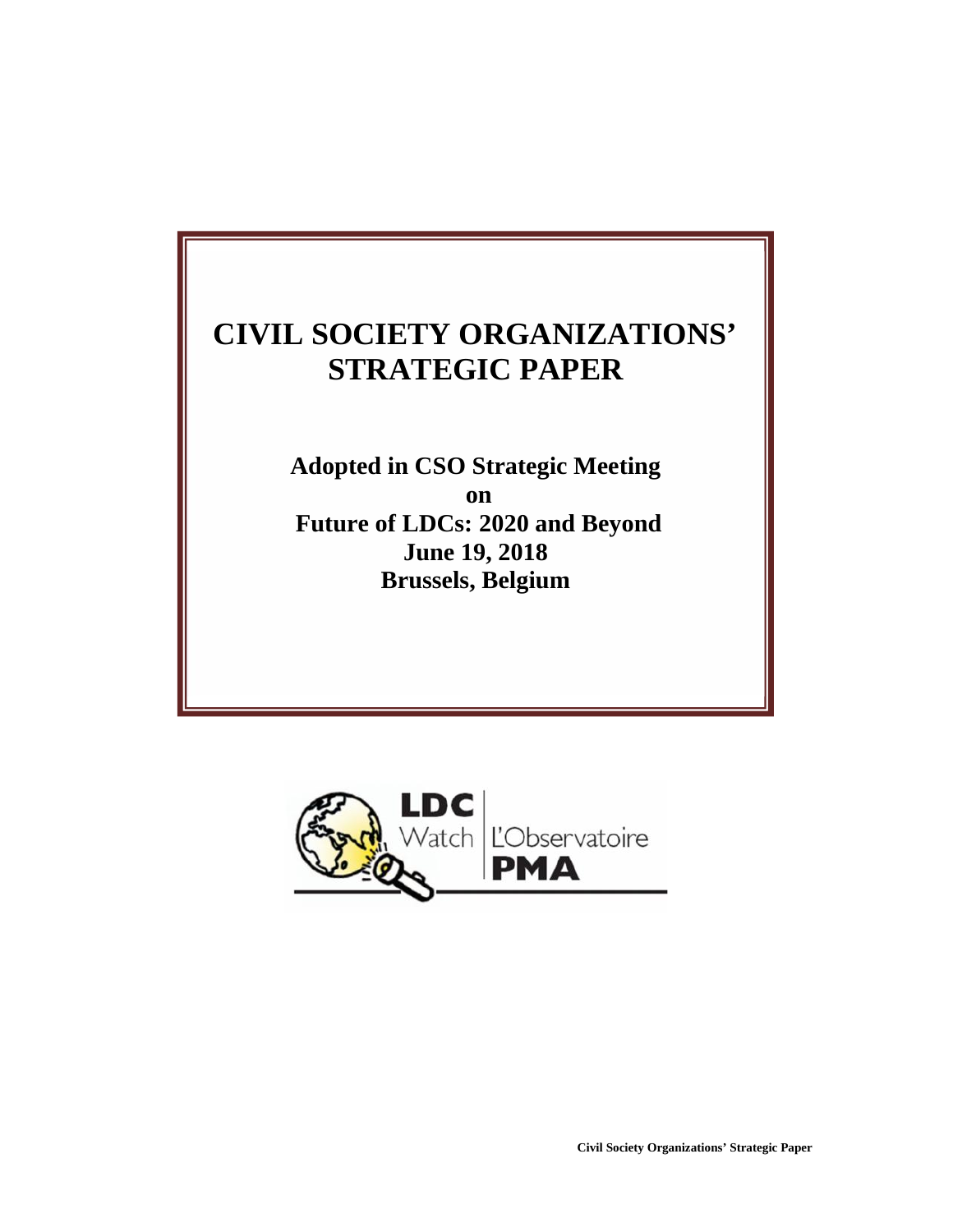# **CIVIL SOCIETY ORGANIZATIONS' STRATEGIC PAPER**

**Adopted in CSO Strategic Meeting on Future of LDCs: 2020 and Beyond June 19, 2018 Brussels, Belgium**



**Civil Society Organizations' Strategic Paper**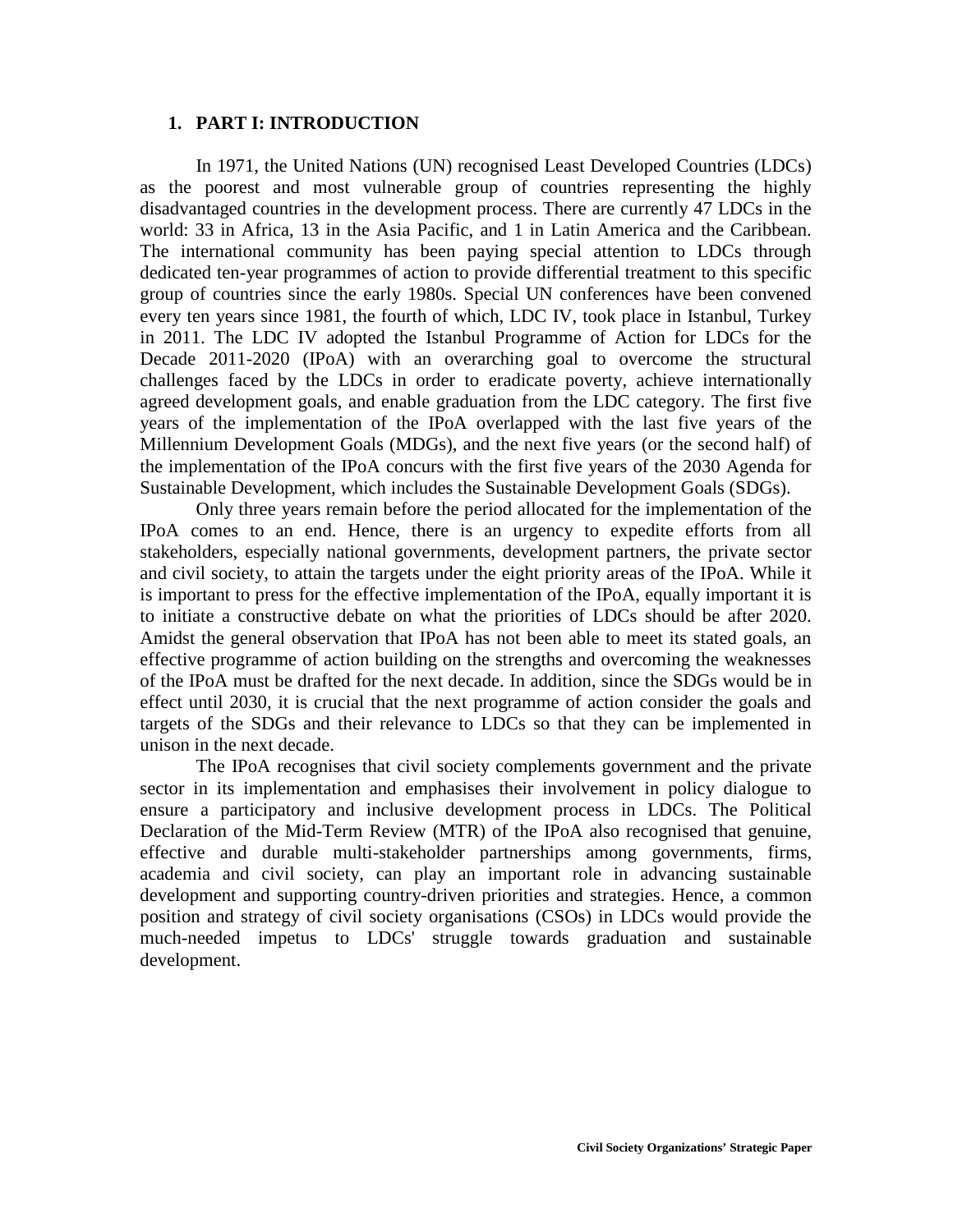#### **1. PART I: INTRODUCTION**

In 1971, the United Nations (UN) recognised Least Developed Countries (LDCs) as the poorest and most vulnerable group of countries representing the highly disadvantaged countries in the development process. There are currently 47 LDCs in the world: 33 in Africa, 13 in the Asia Pacific, and 1 in Latin America and the Caribbean. The international community has been paying special attention to LDCs through dedicated ten-year programmes of action to provide differential treatment to this specific group of countries since the early 1980s. Special UN conferences have been convened every ten years since 1981, the fourth of which, LDC IV, took place in Istanbul, Turkey in 2011. The LDC IV adopted the Istanbul Programme of Action for LDCs for the Decade 2011-2020 (IPoA) with an overarching goal to overcome the structural challenges faced by the LDCs in order to eradicate poverty, achieve internationally agreed development goals, and enable graduation from the LDC category. The first five years of the implementation of the IPoA overlapped with the last five years of the Millennium Development Goals (MDGs), and the next five years (or the second half) of the implementation of the IPoA concurs with the first five years of the 2030 Agenda for Sustainable Development, which includes the Sustainable Development Goals (SDGs).

Only three years remain before the period allocated for the implementation of the IPoA comes to an end. Hence, there is an urgency to expedite efforts from all stakeholders, especially national governments, development partners, the private sector and civil society, to attain the targets under the eight priority areas of the IPoA. While it is important to press for the effective implementation of the IPoA, equally important it is to initiate a constructive debate on what the priorities of LDCs should be after 2020. Amidst the general observation that IPoA has not been able to meet its stated goals, an effective programme of action building on the strengths and overcoming the weaknesses of the IPoA must be drafted for the next decade. In addition, since the SDGs would be in effect until 2030, it is crucial that the next programme of action consider the goals and targets of the SDGs and their relevance to LDCs so that they can be implemented in unison in the next decade.

The IPoA recognises that civil society complements government and the private sector in its implementation and emphasises their involvement in policy dialogue to ensure a participatory and inclusive development process in LDCs. The Political Declaration of the Mid-Term Review (MTR) of the IPoA also recognised that genuine, effective and durable multi-stakeholder partnerships among governments, firms, academia and civil society, can play an important role in advancing sustainable development and supporting country-driven priorities and strategies. Hence, a common position and strategy of civil society organisations (CSOs) in LDCs would provide the much-needed impetus to LDCs' struggle towards graduation and sustainable development.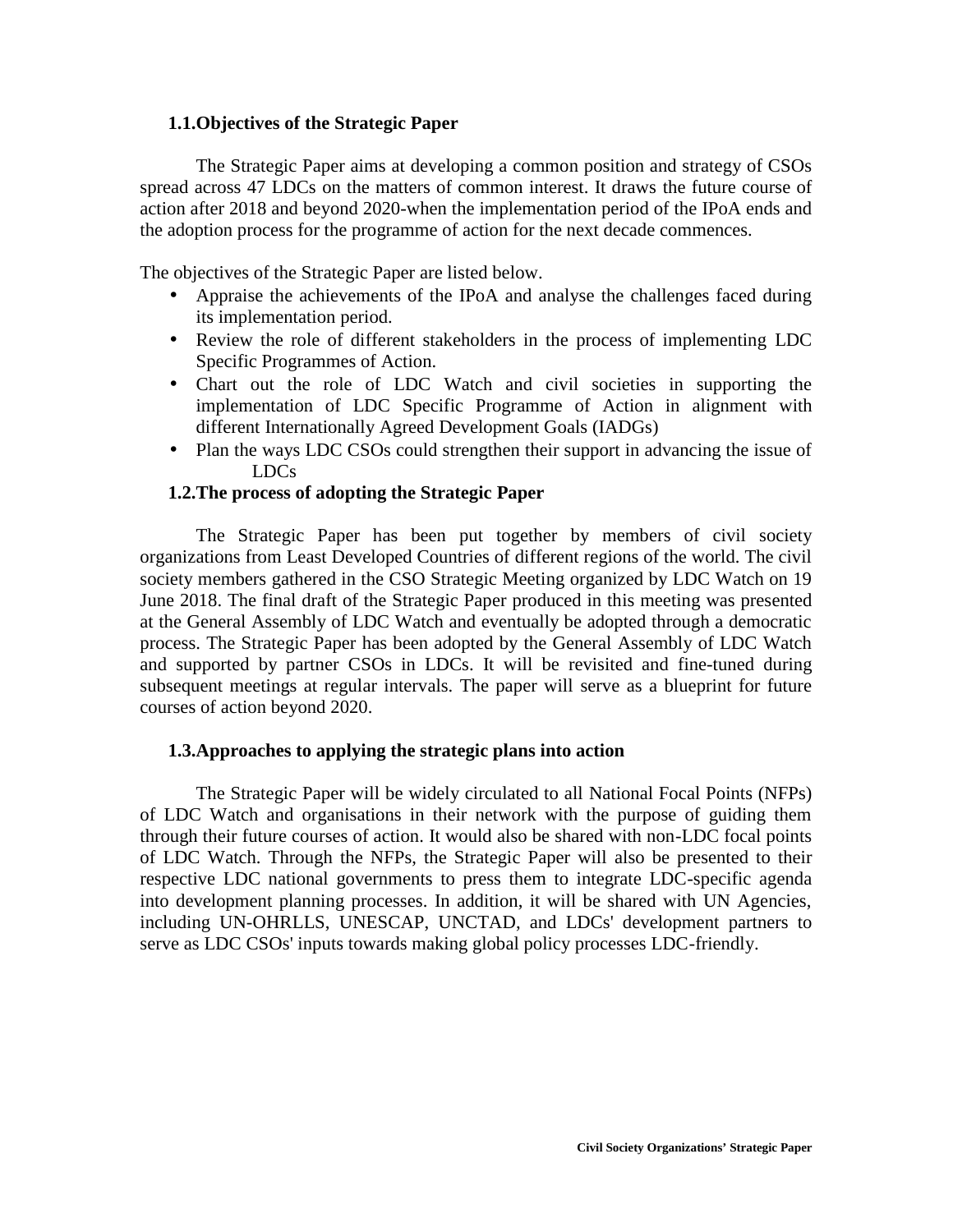## **1.1.Objectives of the Strategic Paper**

The Strategic Paper aims at developing a common position and strategy of CSOs spread across 47 LDCs on the matters of common interest. It draws the future course of action after 2018 and beyond 2020-when the implementation period of the IPoA ends and the adoption process for the programme of action for the next decade commences.

The objectives of the Strategic Paper are listed below.

- Appraise the achievements of the IPoA and analyse the challenges faced during its implementation period.
- Review the role of different stakeholders in the process of implementing LDC Specific Programmes of Action.
- Chart out the role of LDC Watch and civil societies in supporting the implementation of LDC Specific Programme of Action in alignment with different Internationally Agreed Development Goals (IADGs)
- Plan the ways LDC CSOs could strengthen their support in advancing the issue of LDCs

## **1.2.The process of adopting the Strategic Paper**

The Strategic Paper has been put together by members of civil society organizations from Least Developed Countries of different regions of the world. The civil society members gathered in the CSO Strategic Meeting organized by LDC Watch on 19 June 2018. The final draft of the Strategic Paper produced in this meeting was presented at the General Assembly of LDC Watch and eventually be adopted through a democratic process. The Strategic Paper has been adopted by the General Assembly of LDC Watch and supported by partner CSOs in LDCs. It will be revisited and fine-tuned during subsequent meetings at regular intervals. The paper will serve as a blueprint for future courses of action beyond 2020.

#### **1.3.Approaches to applying the strategic plans into action**

The Strategic Paper will be widely circulated to all National Focal Points (NFPs) of LDC Watch and organisations in their network with the purpose of guiding them through their future courses of action. It would also be shared with non-LDC focal points of LDC Watch. Through the NFPs, the Strategic Paper will also be presented to their respective LDC national governments to press them to integrate LDC-specific agenda into development planning processes. In addition, it will be shared with UN Agencies, including UN-OHRLLS, UNESCAP, UNCTAD, and LDCs' development partners to serve as LDC CSOs' inputs towards making global policy processes LDC-friendly.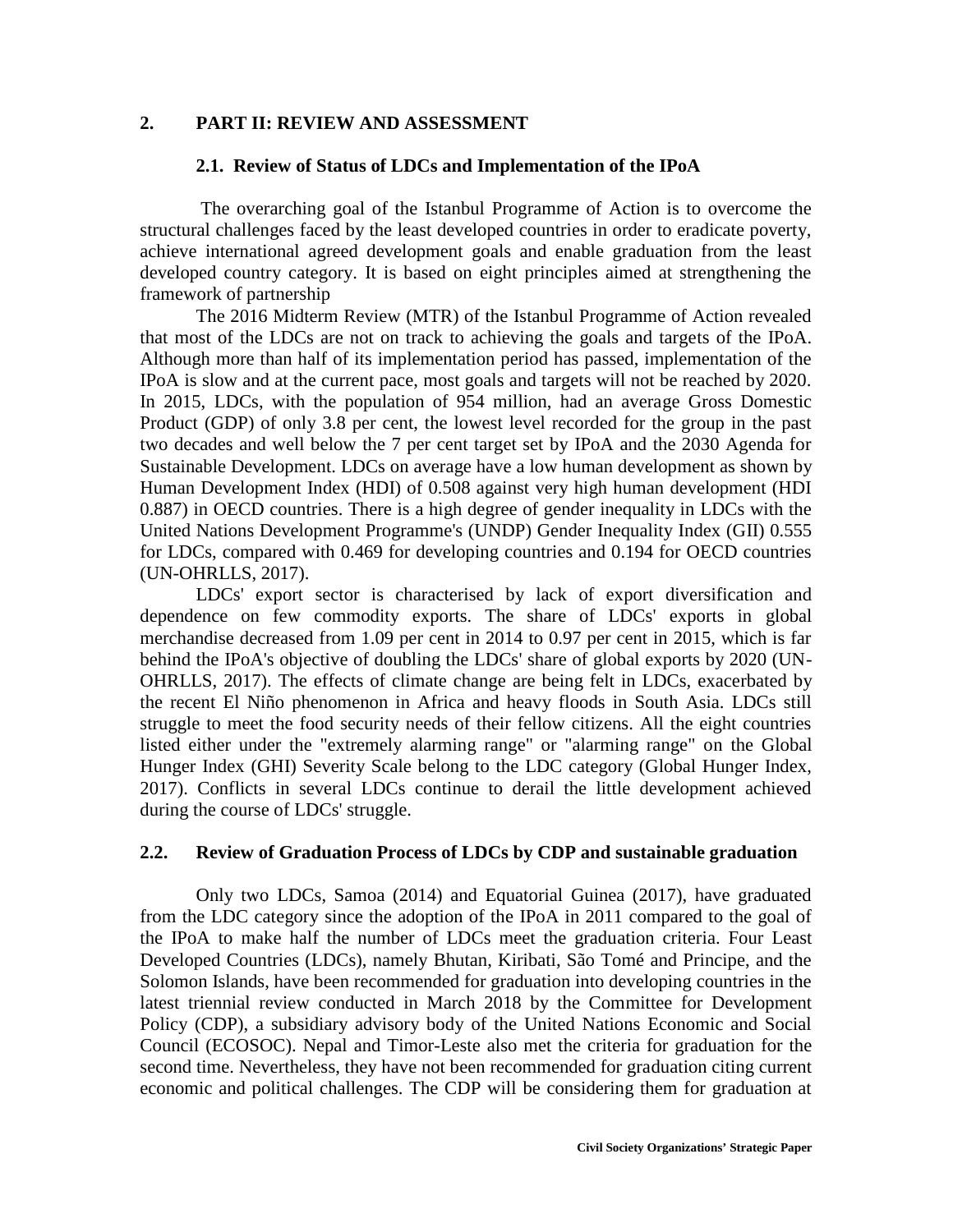## **2. PART II: REVIEW AND ASSESSMENT**

#### **2.1. Review of Status of LDCs and Implementation of the IPoA**

The overarching goal of the Istanbul Programme of Action is to overcome the structural challenges faced by the least developed countries in order to eradicate poverty, achieve international agreed development goals and enable graduation from the least developed country category. It is based on eight principles aimed at strengthening the framework of partnership

The 2016 Midterm Review (MTR) of the Istanbul Programme of Action revealed that most of the LDCs are not on track to achieving the goals and targets of the IPoA. Although more than half of its implementation period has passed, implementation of the IPoA is slow and at the current pace, most goals and targets will not be reached by 2020. In 2015, LDCs, with the population of 954 million, had an average Gross Domestic Product (GDP) of only 3.8 per cent, the lowest level recorded for the group in the past two decades and well below the 7 per cent target set by IPoA and the 2030 Agenda for Sustainable Development. LDCs on average have a low human development as shown by Human Development Index (HDI) of 0.508 against very high human development (HDI 0.887) in OECD countries. There is a high degree of gender inequality in LDCs with the United Nations Development Programme's (UNDP) Gender Inequality Index (GII) 0.555 for LDCs, compared with 0.469 for developing countries and 0.194 for OECD countries (UN-OHRLLS, 2017).

LDCs' export sector is characterised by lack of export diversification and dependence on few commodity exports. The share of LDCs' exports in global merchandise decreased from 1.09 per cent in 2014 to 0.97 per cent in 2015, which is far behind the IPoA's objective of doubling the LDCs' share of global exports by 2020 (UN- OHRLLS, 2017). The effects of climate change are being felt in LDCs, exacerbated by the recent El Niño phenomenon in Africa and heavy floods in South Asia. LDCs still struggle to meet the food security needs of their fellow citizens. All the eight countries listed either under the "extremely alarming range" or "alarming range" on the Global Hunger Index (GHI) Severity Scale belong to the LDC category (Global Hunger Index, 2017). Conflicts in several LDCs continue to derail the little development achieved during the course of LDCs' struggle.

#### **2.2. Review of Graduation Process of LDCs by CDP and sustainable graduation**

Only two LDCs, Samoa (2014) and Equatorial Guinea (2017), have graduated from the LDC category since the adoption of the IPoA in 2011 compared to the goal of the IPoA to make half the number of LDCs meet the graduation criteria. Four Least Developed Countries (LDCs), namely Bhutan, Kiribati, São Tomé and Principe, and the Solomon Islands, have been recommended for graduation into developing countries in the latest triennial review conducted in March 2018 by the Committee for Development Policy (CDP), a subsidiary advisory body of the United Nations Economic and Social Council (ECOSOC). Nepal and Timor-Leste also met the criteria for graduation for the second time. Nevertheless, they have not been recommended for graduation citing current economic and political challenges. The CDP will be considering them for graduation at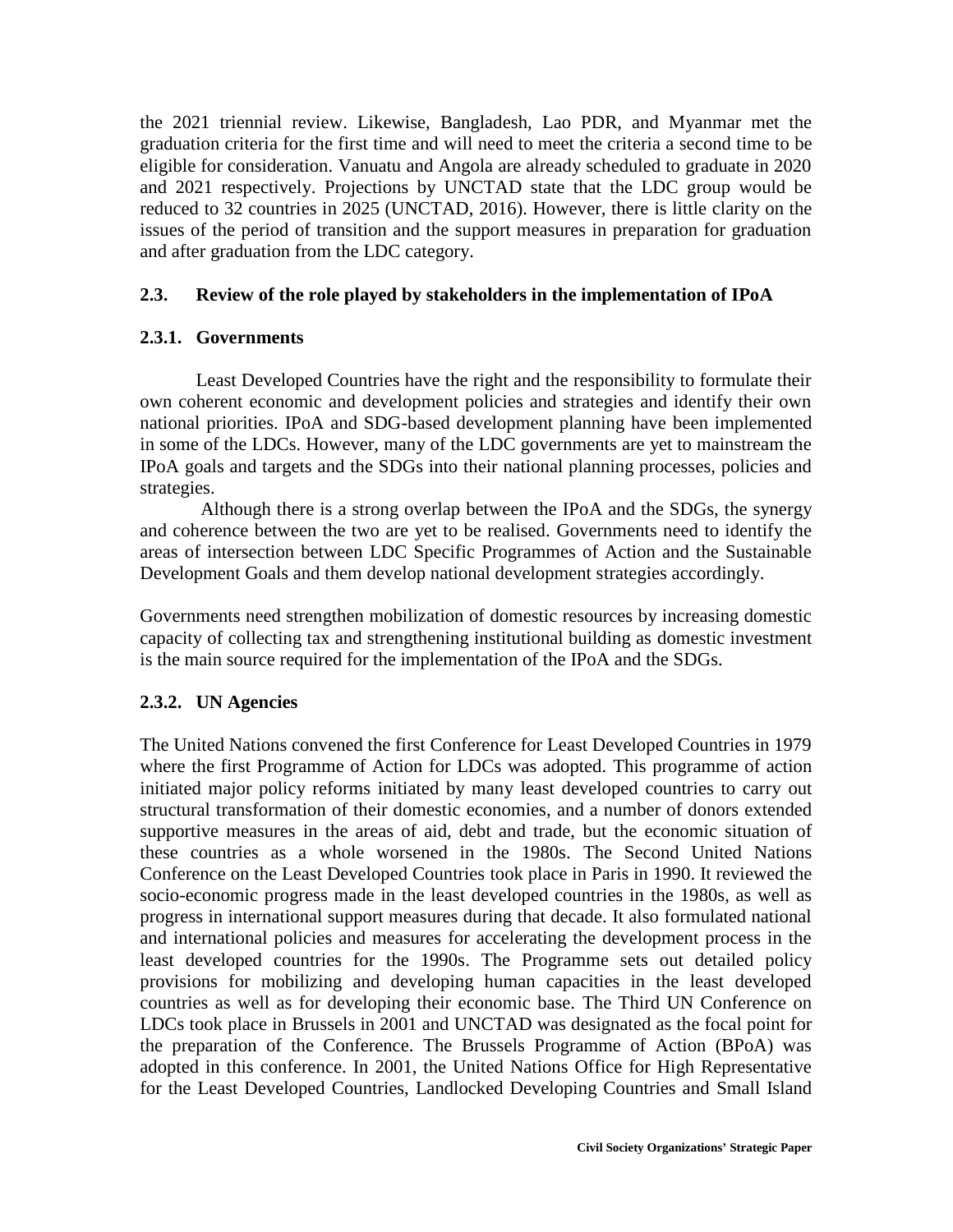the 2021 triennial review. Likewise, Bangladesh, Lao PDR, and Myanmar met the graduation criteria for the first time and will need to meet the criteria a second time to be eligible for consideration. Vanuatu and Angola are already scheduled to graduate in 2020 and 2021 respectively. Projections by UNCTAD state that the LDC group would be reduced to 32 countries in 2025 (UNCTAD, 2016). However, there is little clarity on the issues of the period of transition and the support measures in preparation for graduation and after graduation from the LDC category.

# **2.3. Review of the role played by stakeholders in the implementation of IPoA**

# **2.3.1. Governments**

Least Developed Countries have the right and the responsibility to formulate their own coherent economic and development policies and strategies and identify their own national priorities. IPoA and SDG-based development planning have been implemented in some of the LDCs. However, many of the LDC governments are yet to mainstream the IPoA goals and targets and the SDGs into their national planning processes, policies and strategies.

Although there is a strong overlap between the IPoA and the SDGs, the synergy and coherence between the two are yet to be realised. Governments need to identify the areas of intersection between LDC Specific Programmes of Action and the Sustainable Development Goals and them develop national development strategies accordingly.

Governments need strengthen mobilization of domestic resources by increasing domestic capacity of collecting tax and strengthening institutional building as domestic investment is the main source required for the implementation of the IPoA and the SDGs.

# **2.3.2. UN Agencies**

The United Nations convened the first Conference for Least Developed Countries in 1979 where the first Programme of Action for LDCs was adopted. This programme of action initiated major policy reforms initiated by many least developed countries to carry out structural transformation of their domestic economies, and a number of donors extended supportive measures in the areas of aid, debt and trade, but the economic situation of these countries as a whole worsened in the 1980s. The Second United Nations Conference on the Least Developed Countries took place in Paris in 1990. It reviewed the socio-economic progress made in the least developed countries in the 1980s, as well as progress in international support measures during that decade. It also formulated national and international policies and measures for accelerating the development process in the least developed countries for the 1990s. The Programme sets out detailed policy provisions for mobilizing and developing human capacities in the least developed countries as well as for developing their economic base. The Third UN Conference on LDCs took place in Brussels in 2001 and UNCTAD was designated as the focal point for the preparation of the Conference. The Brussels Programme of Action (BPoA) was adopted in this conference. In 2001, the United Nations Office for High Representative for the Least Developed Countries, Landlocked Developing Countries and Small Island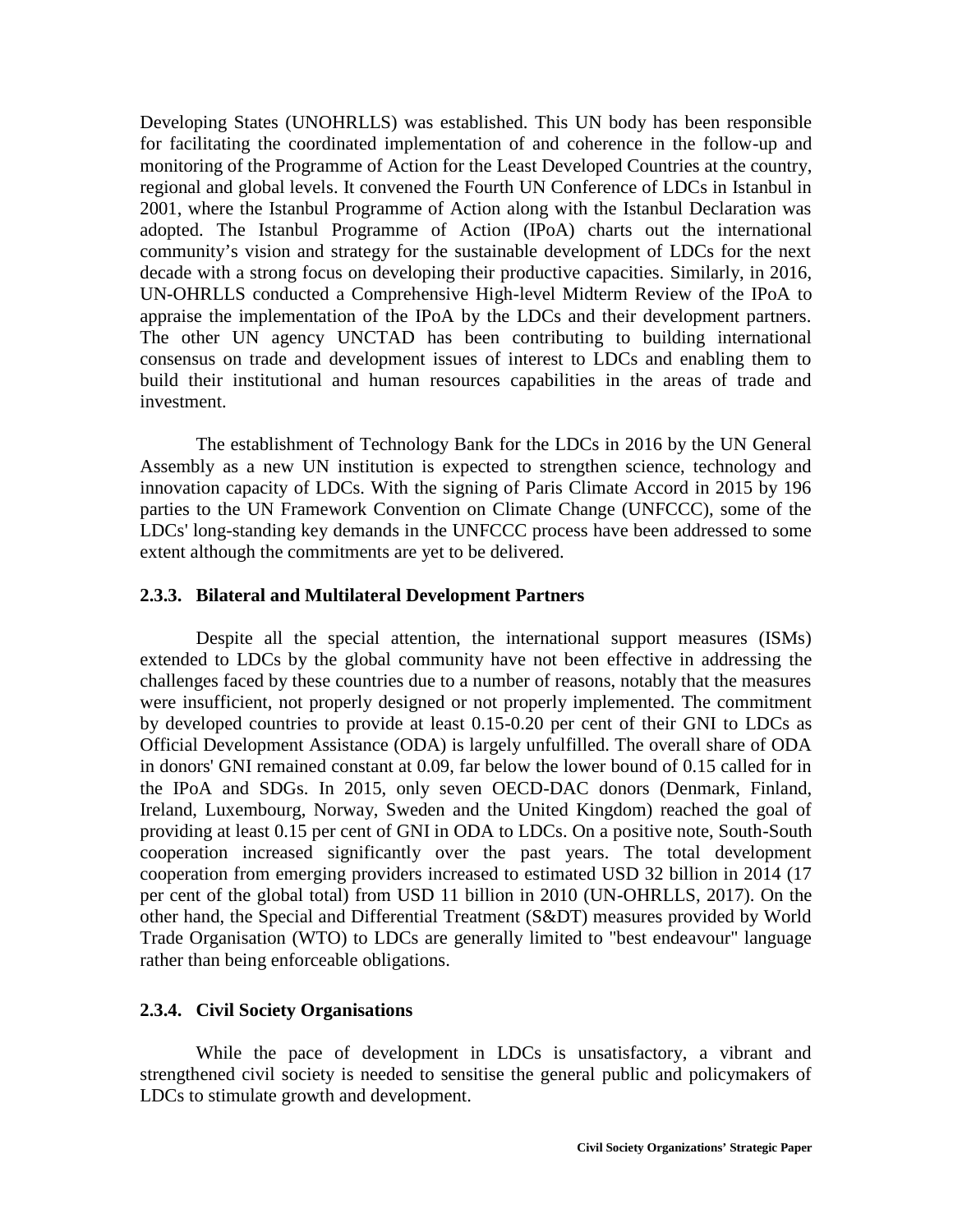Developing States (UNOHRLLS) was established. This UN body has been responsible for facilitating the coordinated implementation of and coherence in the follow-up and monitoring of the Programme of Action for the Least Developed Countries at the country, regional and global levels. It convened the Fourth UN Conference of LDCs in Istanbul in 2001, where the Istanbul Programme of Action along with the Istanbul Declaration was adopted. The Istanbul Programme of Action (IPoA) charts out the international community's vision and strategy for the sustainable development of LDCs for the next decade with a strong focus on developing their productive capacities. Similarly, in 2016, UN-OHRLLS conducted a Comprehensive High-level Midterm Review of the IPoA to appraise the implementation of the IPoA by the LDCs and their development partners. The other UN agency UNCTAD has been contributing to building international consensus on trade and development issues of interest to LDCs and enabling them to build their institutional and human resources capabilities in the areas of trade and investment.

The establishment of Technology Bank for the LDCs in 2016 by the UN General Assembly as a new UN institution is expected to strengthen science, technology and innovation capacity of LDCs. With the signing of Paris Climate Accord in 2015 by 196 parties to the UN Framework Convention on Climate Change (UNFCCC), some of the LDCs' long-standing key demands in the UNFCCC process have been addressed to some extent although the commitments are yet to be delivered.

## **2.3.3. Bilateral and Multilateral Development Partners**

Despite all the special attention, the international support measures (ISMs) extended to LDCs by the global community have not been effective in addressing the challenges faced by these countries due to a number of reasons, notably that the measures were insufficient, not properly designed or not properly implemented. The commitment by developed countries to provide at least 0.15-0.20 per cent of their GNI to LDCs as Official Development Assistance (ODA) is largely unfulfilled. The overall share of ODA in donors' GNI remained constant at 0.09, far below the lower bound of 0.15 called for in the IPoA and SDGs. In 2015, only seven OECD-DAC donors (Denmark, Finland, Ireland, Luxembourg, Norway, Sweden and the United Kingdom) reached the goal of providing at least 0.15 per cent of GNI in ODA to LDCs. On a positive note, South-South cooperation increased significantly over the past years. The total development cooperation from emerging providers increased to estimated USD 32 billion in 2014 (17 per cent of the global total) from USD 11 billion in 2010 (UN-OHRLLS, 2017). On the other hand, the Special and Differential Treatment (S&DT) measures provided by World Trade Organisation (WTO) to LDCs are generally limited to "best endeavour" language rather than being enforceable obligations.

# **2.3.4. Civil Society Organisations**

While the pace of development in LDCs is unsatisfactory, a vibrant and strengthened civil society is needed to sensitise the general public and policymakers of LDCs to stimulate growth and development.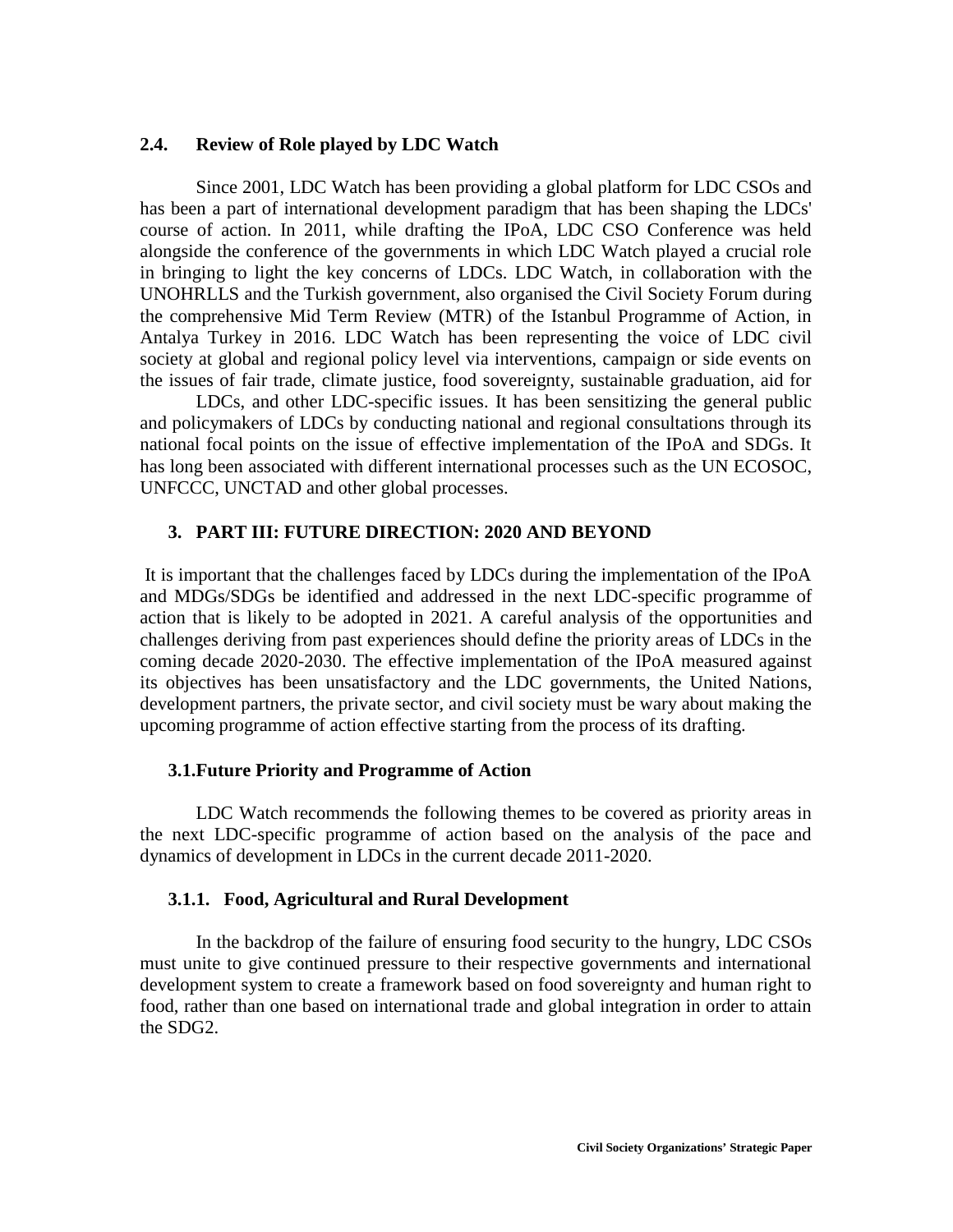## **2.4. Review of Role played by LDC Watch**

Since 2001, LDC Watch has been providing a global platform for LDC CSOs and has been a part of international development paradigm that has been shaping the LDCs' course of action. In 2011, while drafting the IPoA, LDC CSO Conference was held alongside the conference of the governments in which LDC Watch played a crucial role in bringing to light the key concerns of LDCs. LDC Watch, in collaboration with the UNOHRLLS and the Turkish government, also organised the Civil Society Forum during the comprehensive Mid Term Review (MTR) of the Istanbul Programme of Action, in Antalya Turkey in 2016. LDC Watch has been representing the voice of LDC civil society at global and regional policy level via interventions, campaign or side events on the issues of fair trade, climate justice, food sovereignty, sustainable graduation, aid for

LDCs, and other LDC-specific issues. It has been sensitizing the general public and policymakers of LDCs by conducting national and regional consultations through its national focal points on the issue of effective implementation of the IPoA and SDGs. It has long been associated with different international processes such as the UN ECOSOC, UNFCCC, UNCTAD and other global processes.

## **3. PART III: FUTURE DIRECTION: 2020 AND BEYOND**

It is important that the challenges faced by LDCs during the implementation of the IPoA and MDGs/SDGs be identified and addressed in the next LDC-specific programme of action that is likely to be adopted in 2021. A careful analysis of the opportunities and challenges deriving from past experiences should define the priority areas of LDCs in the coming decade 2020-2030. The effective implementation of the IPoA measured against its objectives has been unsatisfactory and the LDC governments, the United Nations, development partners, the private sector, and civil society must be wary about making the upcoming programme of action effective starting from the process of its drafting.

#### **3.1.Future Priority and Programme of Action**

LDC Watch recommends the following themes to be covered as priority areas in the next LDC-specific programme of action based on the analysis of the pace and dynamics of development in LDCs in the current decade 2011-2020.

#### **3.1.1. Food, Agricultural and Rural Development**

In the backdrop of the failure of ensuring food security to the hungry, LDC CSOs must unite to give continued pressure to their respective governments and international development system to create a framework based on food sovereignty and human right to food, rather than one based on international trade and global integration in order to attain the SDG2.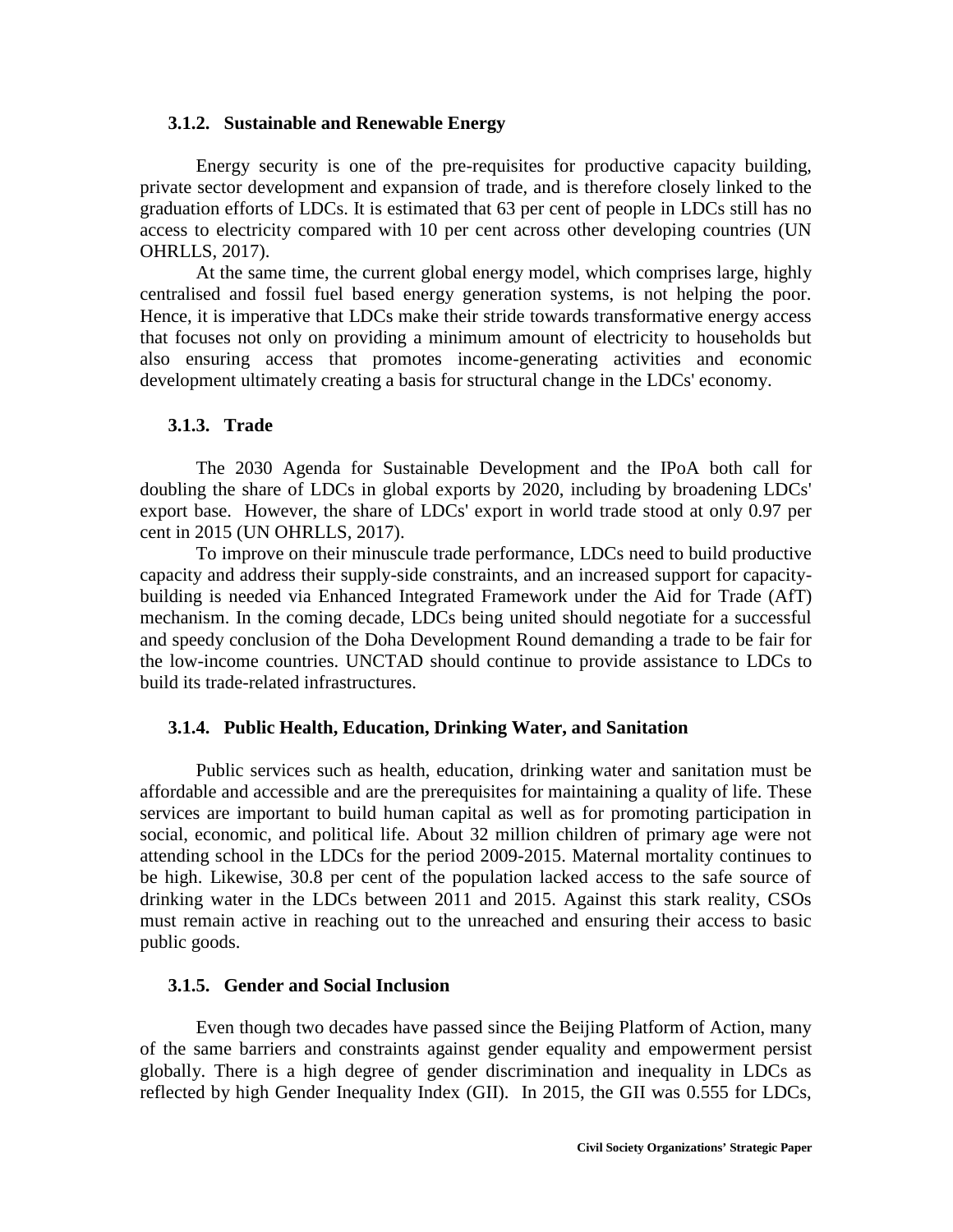#### **3.1.2. Sustainable and Renewable Energy**

Energy security is one of the pre-requisites for productive capacity building, private sector development and expansion of trade, and is therefore closely linked to the graduation efforts of LDCs. It is estimated that 63 per cent of people in LDCs still has no access to electricity compared with 10 per cent across other developing countries (UN OHRLLS, 2017).

At the same time, the current global energy model, which comprises large, highly centralised and fossil fuel based energy generation systems, is not helping the poor. Hence, it is imperative that LDCs make their stride towards transformative energy access that focuses not only on providing a minimum amount of electricity to households but also ensuring access that promotes income-generating activities and economic development ultimately creating a basis for structural change in the LDCs' economy.

#### **3.1.3. Trade**

The 2030 Agenda for Sustainable Development and the IPoA both call for doubling the share of LDCs in global exports by 2020, including by broadening LDCs' export base. However, the share of LDCs' export in world trade stood at only 0.97 per cent in 2015 (UN OHRLLS, 2017).

To improve on their minuscule trade performance, LDCs need to build productive capacity and address their supply-side constraints, and an increased support for capacity building is needed via Enhanced Integrated Framework under the Aid for Trade (AfT) mechanism. In the coming decade, LDCs being united should negotiate for a successful and speedy conclusion of the Doha Development Round demanding a trade to be fair for the low-income countries. UNCTAD should continue to provide assistance to LDCs to build its trade-related infrastructures.

#### **3.1.4. Public Health, Education, Drinking Water, and Sanitation**

Public services such as health, education, drinking water and sanitation must be affordable and accessible and are the prerequisites for maintaining a quality of life. These services are important to build human capital as well as for promoting participation in social, economic, and political life. About 32 million children of primary age were not attending school in the LDCs for the period 2009-2015. Maternal mortality continues to be high. Likewise, 30.8 per cent of the population lacked access to the safe source of drinking water in the LDCs between 2011 and 2015. Against this stark reality, CSOs must remain active in reaching out to the unreached and ensuring their access to basic public goods.

#### **3.1.5. Gender and Social Inclusion**

Even though two decades have passed since the Beijing Platform of Action, many of the same barriers and constraints against gender equality and empowerment persist globally. There is a high degree of gender discrimination and inequality in LDCs as reflected by high Gender Inequality Index (GII). In 2015, the GII was 0.555 for LDCs,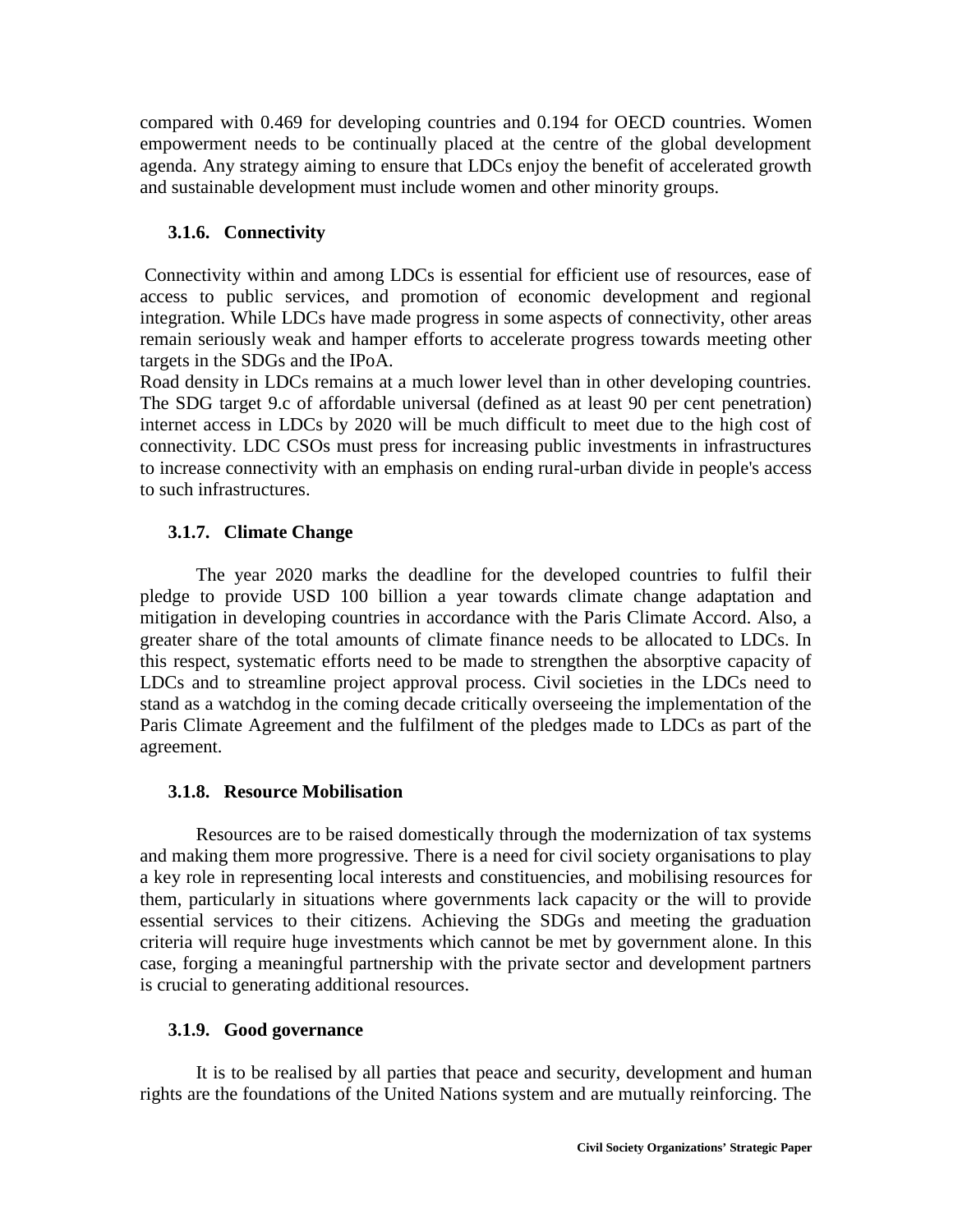compared with 0.469 for developing countries and 0.194 for OECD countries. Women empowerment needs to be continually placed at the centre of the global development agenda. Any strategy aiming to ensure that LDCs enjoy the benefit of accelerated growth and sustainable development must include women and other minority groups.

# **3.1.6. Connectivity**

Connectivity within and among LDCs is essential for efficient use of resources, ease of access to public services, and promotion of economic development and regional integration. While LDCs have made progress in some aspects of connectivity, other areas remain seriously weak and hamper efforts to accelerate progress towards meeting other targets in the SDGs and the IPoA.

Road density in LDCs remains at a much lower level than in other developing countries. The SDG target 9.c of affordable universal (defined as at least 90 per cent penetration) internet access in LDCs by 2020 will be much difficult to meet due to the high cost of connectivity. LDC CSOs must press for increasing public investments in infrastructures to increase connectivity with an emphasis on ending rural-urban divide in people's access to such infrastructures.

# **3.1.7. Climate Change**

The year 2020 marks the deadline for the developed countries to fulfil their pledge to provide USD 100 billion a year towards climate change adaptation and mitigation in developing countries in accordance with the Paris Climate Accord. Also, a greater share of the total amounts of climate finance needs to be allocated to LDCs. In this respect, systematic efforts need to be made to strengthen the absorptive capacity of LDCs and to streamline project approval process. Civil societies in the LDCs need to stand as a watchdog in the coming decade critically overseeing the implementation of the Paris Climate Agreement and the fulfilment of the pledges made to LDCs as part of the agreement.

# **3.1.8. Resource Mobilisation**

Resources are to be raised domestically through the modernization of tax systems and making them more progressive. There is a need for civil society organisations to play a key role in representing local interests and constituencies, and mobilising resources for them, particularly in situations where governments lack capacity or the will to provide essential services to their citizens. Achieving the SDGs and meeting the graduation criteria will require huge investments which cannot be met by government alone. In this case, forging a meaningful partnership with the private sector and development partners is crucial to generating additional resources.

# **3.1.9. Good governance**

It is to be realised by all parties that peace and security, development and human rights are the foundations of the United Nations system and are mutually reinforcing. The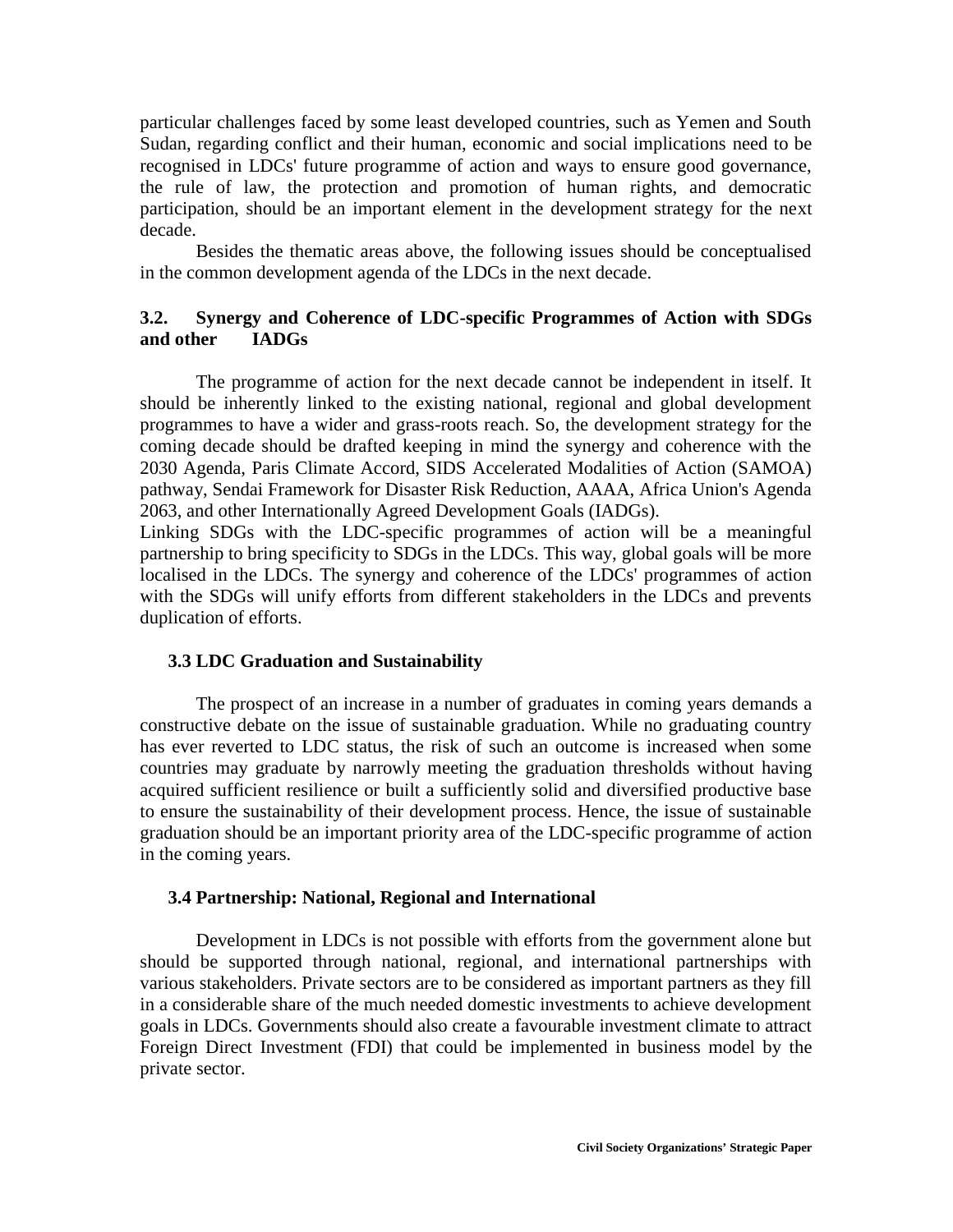particular challenges faced by some least developed countries, such as Yemen and South Sudan, regarding conflict and their human, economic and social implications need to be recognised in LDCs' future programme of action and ways to ensure good governance, the rule of law, the protection and promotion of human rights, and democratic participation, should be an important element in the development strategy for the next decade.

Besides the thematic areas above, the following issues should be conceptualised in the common development agenda of the LDCs in the next decade.

## **3.2. Synergy and Coherence of LDC-specific Programmes of Action with SDGs and other IADGs**

The programme of action for the next decade cannot be independent in itself. It should be inherently linked to the existing national, regional and global development programmes to have a wider and grass-roots reach. So, the development strategy for the coming decade should be drafted keeping in mind the synergy and coherence with the 2030 Agenda, Paris Climate Accord, SIDS Accelerated Modalities of Action (SAMOA) pathway, Sendai Framework for Disaster Risk Reduction, AAAA, Africa Union's Agenda 2063, and other Internationally Agreed Development Goals (IADGs).

Linking SDGs with the LDC-specific programmes of action will be a meaningful partnership to bring specificity to SDGs in the LDCs. This way, global goals will be more localised in the LDCs. The synergy and coherence of the LDCs' programmes of action with the SDGs will unify efforts from different stakeholders in the LDCs and prevents duplication of efforts.

#### **3.3 LDC Graduation and Sustainability**

The prospect of an increase in a number of graduates in coming years demands a constructive debate on the issue of sustainable graduation. While no graduating country has ever reverted to LDC status, the risk of such an outcome is increased when some countries may graduate by narrowly meeting the graduation thresholds without having acquired sufficient resilience or built a sufficiently solid and diversified productive base to ensure the sustainability of their development process. Hence, the issue of sustainable graduation should be an important priority area of the LDC-specific programme of action in the coming years.

#### **3.4 Partnership: National, Regional and International**

Development in LDCs is not possible with efforts from the government alone but should be supported through national, regional, and international partnerships with various stakeholders. Private sectors are to be considered as important partners as they fill in a considerable share of the much needed domestic investments to achieve development goals in LDCs. Governments should also create a favourable investment climate to attract Foreign Direct Investment (FDI) that could be implemented in business model by the private sector.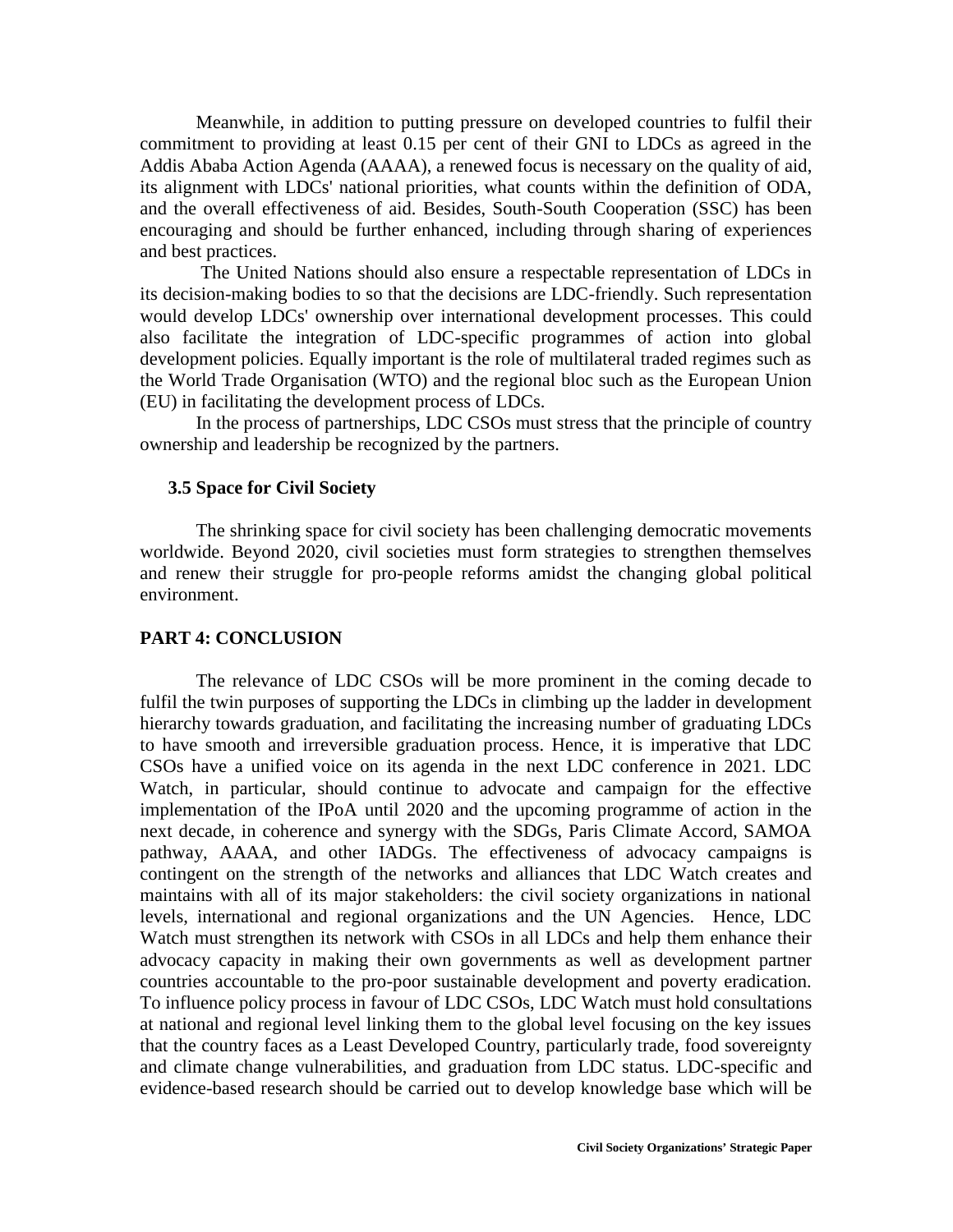Meanwhile, in addition to putting pressure on developed countries to fulfil their commitment to providing at least 0.15 per cent of their GNI to LDCs as agreed in the Addis Ababa Action Agenda (AAAA), a renewed focus is necessary on the quality of aid, its alignment with LDCs' national priorities, what counts within the definition of ODA, and the overall effectiveness of aid. Besides, South-South Cooperation (SSC) has been encouraging and should be further enhanced, including through sharing of experiences and best practices.

The United Nations should also ensure a respectable representation of LDCs in its decision-making bodies to so that the decisions are LDC-friendly. Such representation would develop LDCs' ownership over international development processes. This could also facilitate the integration of LDC-specific programmes of action into global development policies. Equally important is the role of multilateral traded regimes such as the World Trade Organisation (WTO) and the regional bloc such as the European Union (EU) in facilitating the development process of LDCs.

In the process of partnerships, LDC CSOs must stress that the principle of country ownership and leadership be recognized by the partners.

#### **3.5 Space for Civil Society**

The shrinking space for civil society has been challenging democratic movements worldwide. Beyond 2020, civil societies must form strategies to strengthen themselves and renew their struggle for pro-people reforms amidst the changing global political environment.

#### **PART 4: CONCLUSION**

The relevance of LDC CSOs will be more prominent in the coming decade to fulfil the twin purposes of supporting the LDCs in climbing up the ladder in development hierarchy towards graduation, and facilitating the increasing number of graduating LDCs to have smooth and irreversible graduation process. Hence, it is imperative that LDC CSOs have a unified voice on its agenda in the next LDC conference in 2021. LDC Watch, in particular, should continue to advocate and campaign for the effective implementation of the IPoA until 2020 and the upcoming programme of action in the next decade, in coherence and synergy with the SDGs, Paris Climate Accord, SAMOA pathway, AAAA, and other IADGs. The effectiveness of advocacy campaigns is contingent on the strength of the networks and alliances that LDC Watch creates and maintains with all of its major stakeholders: the civil society organizations in national levels, international and regional organizations and the UN Agencies. Hence, LDC Watch must strengthen its network with CSOs in all LDCs and help them enhance their advocacy capacity in making their own governments as well as development partner countries accountable to the pro-poor sustainable development and poverty eradication. To influence policy process in favour of LDC CSOs, LDC Watch must hold consultations at national and regional level linking them to the global level focusing on the key issues that the country faces as a Least Developed Country, particularly trade, food sovereignty and climate change vulnerabilities, and graduation from LDC status. LDC-specific and evidence-based research should be carried out to develop knowledge base which will be